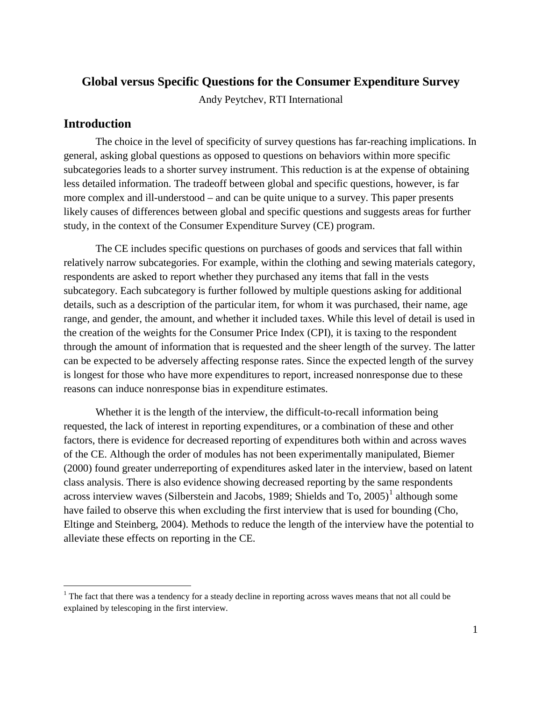# **Global versus Specific Questions for the Consumer Expenditure Survey**

Andy Peytchev, RTI International

# **Introduction**

 $\overline{a}$ 

The choice in the level of specificity of survey questions has far-reaching implications. In general, asking global questions as opposed to questions on behaviors within more specific subcategories leads to a shorter survey instrument. This reduction is at the expense of obtaining less detailed information. The tradeoff between global and specific questions, however, is far more complex and ill-understood – and can be quite unique to a survey. This paper presents likely causes of differences between global and specific questions and suggests areas for further study, in the context of the Consumer Expenditure Survey (CE) program.

The CE includes specific questions on purchases of goods and services that fall within relatively narrow subcategories. For example, within the clothing and sewing materials category, respondents are asked to report whether they purchased any items that fall in the vests subcategory. Each subcategory is further followed by multiple questions asking for additional details, such as a description of the particular item, for whom it was purchased, their name, age range, and gender, the amount, and whether it included taxes. While this level of detail is used in the creation of the weights for the Consumer Price Index (CPI), it is taxing to the respondent through the amount of information that is requested and the sheer length of the survey. The latter can be expected to be adversely affecting response rates. Since the expected length of the survey is longest for those who have more expenditures to report, increased nonresponse due to these reasons can induce nonresponse bias in expenditure estimates.

Whether it is the length of the interview, the difficult-to-recall information being requested, the lack of interest in reporting expenditures, or a combination of these and other factors, there is evidence for decreased reporting of expenditures both within and across waves of the CE. Although the order of modules has not been experimentally manipulated, Biemer (2000) found greater underreporting of expenditures asked later in the interview, based on latent class analysis. There is also evidence showing decreased reporting by the same respondents across interview waves (Silberstein and Jacobs, [1](#page-0-0)989; Shields and To,  $2005$ )<sup>1</sup> although some have failed to observe this when excluding the first interview that is used for bounding (Cho, Eltinge and Steinberg, 2004). Methods to reduce the length of the interview have the potential to alleviate these effects on reporting in the CE.

<span id="page-0-0"></span><sup>&</sup>lt;sup>1</sup> The fact that there was a tendency for a steady decline in reporting across waves means that not all could be explained by telescoping in the first interview.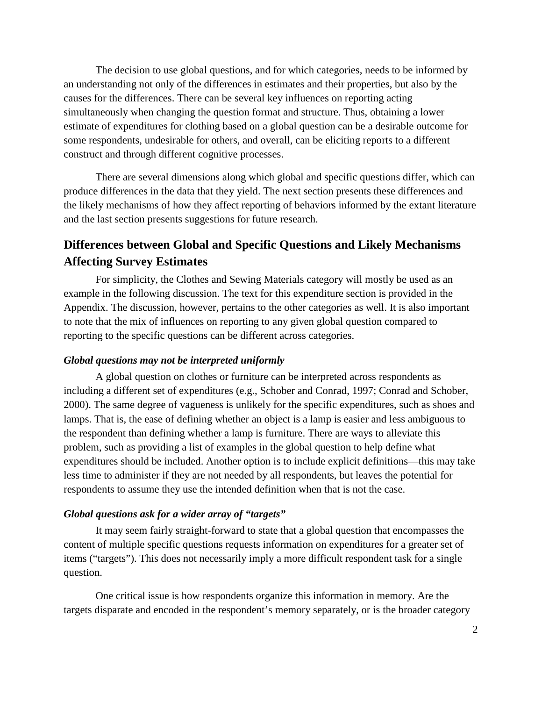The decision to use global questions, and for which categories, needs to be informed by an understanding not only of the differences in estimates and their properties, but also by the causes for the differences. There can be several key influences on reporting acting simultaneously when changing the question format and structure. Thus, obtaining a lower estimate of expenditures for clothing based on a global question can be a desirable outcome for some respondents, undesirable for others, and overall, can be eliciting reports to a different construct and through different cognitive processes.

There are several dimensions along which global and specific questions differ, which can produce differences in the data that they yield. The next section presents these differences and the likely mechanisms of how they affect reporting of behaviors informed by the extant literature and the last section presents suggestions for future research.

# **Differences between Global and Specific Questions and Likely Mechanisms Affecting Survey Estimates**

For simplicity, the Clothes and Sewing Materials category will mostly be used as an example in the following discussion. The text for this expenditure section is provided in the Appendix. The discussion, however, pertains to the other categories as well. It is also important to note that the mix of influences on reporting to any given global question compared to reporting to the specific questions can be different across categories.

## *Global questions may not be interpreted uniformly*

A global question on clothes or furniture can be interpreted across respondents as including a different set of expenditures (e.g., Schober and Conrad, 1997; Conrad and Schober, 2000). The same degree of vagueness is unlikely for the specific expenditures, such as shoes and lamps. That is, the ease of defining whether an object is a lamp is easier and less ambiguous to the respondent than defining whether a lamp is furniture. There are ways to alleviate this problem, such as providing a list of examples in the global question to help define what expenditures should be included. Another option is to include explicit definitions—this may take less time to administer if they are not needed by all respondents, but leaves the potential for respondents to assume they use the intended definition when that is not the case.

## *Global questions ask for a wider array of "targets"*

It may seem fairly straight-forward to state that a global question that encompasses the content of multiple specific questions requests information on expenditures for a greater set of items ("targets"). This does not necessarily imply a more difficult respondent task for a single question.

One critical issue is how respondents organize this information in memory. Are the targets disparate and encoded in the respondent's memory separately, or is the broader category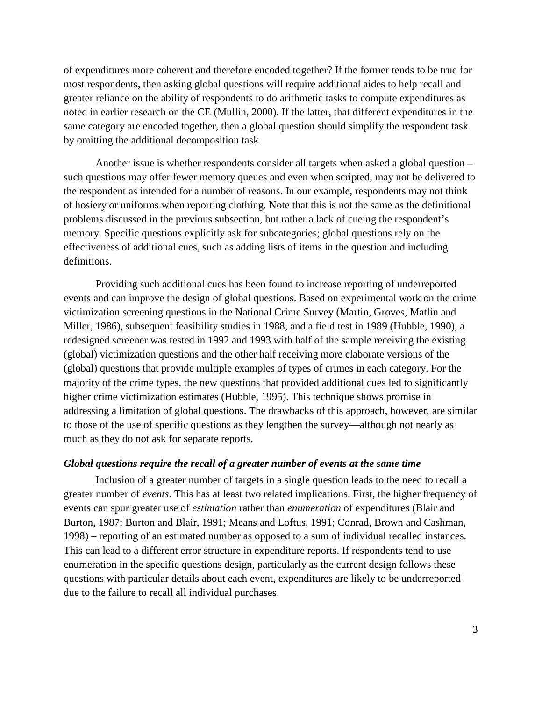of expenditures more coherent and therefore encoded together? If the former tends to be true for most respondents, then asking global questions will require additional aides to help recall and greater reliance on the ability of respondents to do arithmetic tasks to compute expenditures as noted in earlier research on the CE (Mullin, 2000). If the latter, that different expenditures in the same category are encoded together, then a global question should simplify the respondent task by omitting the additional decomposition task.

Another issue is whether respondents consider all targets when asked a global question – such questions may offer fewer memory queues and even when scripted, may not be delivered to the respondent as intended for a number of reasons. In our example, respondents may not think of hosiery or uniforms when reporting clothing. Note that this is not the same as the definitional problems discussed in the previous subsection, but rather a lack of cueing the respondent's memory. Specific questions explicitly ask for subcategories; global questions rely on the effectiveness of additional cues, such as adding lists of items in the question and including definitions.

Providing such additional cues has been found to increase reporting of underreported events and can improve the design of global questions. Based on experimental work on the crime victimization screening questions in the National Crime Survey (Martin, Groves, Matlin and Miller, 1986), subsequent feasibility studies in 1988, and a field test in 1989 (Hubble, 1990), a redesigned screener was tested in 1992 and 1993 with half of the sample receiving the existing (global) victimization questions and the other half receiving more elaborate versions of the (global) questions that provide multiple examples of types of crimes in each category. For the majority of the crime types, the new questions that provided additional cues led to significantly higher crime victimization estimates (Hubble, 1995). This technique shows promise in addressing a limitation of global questions. The drawbacks of this approach, however, are similar to those of the use of specific questions as they lengthen the survey—although not nearly as much as they do not ask for separate reports.

## *Global questions require the recall of a greater number of events at the same time*

Inclusion of a greater number of targets in a single question leads to the need to recall a greater number of *events*. This has at least two related implications. First, the higher frequency of events can spur greater use of *estimation* rather than *enumeration* of expenditures (Blair and Burton, 1987; Burton and Blair, 1991; Means and Loftus, 1991; Conrad, Brown and Cashman, 1998) – reporting of an estimated number as opposed to a sum of individual recalled instances. This can lead to a different error structure in expenditure reports. If respondents tend to use enumeration in the specific questions design, particularly as the current design follows these questions with particular details about each event, expenditures are likely to be underreported due to the failure to recall all individual purchases.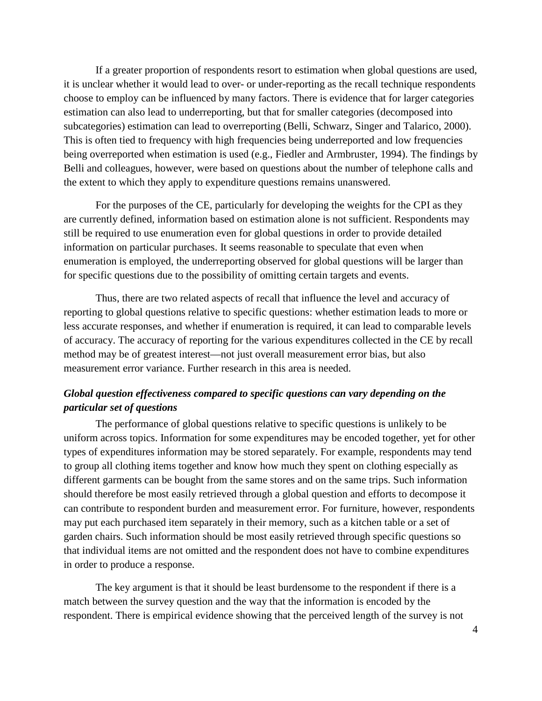If a greater proportion of respondents resort to estimation when global questions are used, it is unclear whether it would lead to over- or under-reporting as the recall technique respondents choose to employ can be influenced by many factors. There is evidence that for larger categories estimation can also lead to underreporting, but that for smaller categories (decomposed into subcategories) estimation can lead to overreporting (Belli, Schwarz, Singer and Talarico, 2000). This is often tied to frequency with high frequencies being underreported and low frequencies being overreported when estimation is used (e.g., Fiedler and Armbruster, 1994). The findings by Belli and colleagues, however, were based on questions about the number of telephone calls and the extent to which they apply to expenditure questions remains unanswered.

 For the purposes of the CE, particularly for developing the weights for the CPI as they are currently defined, information based on estimation alone is not sufficient. Respondents may still be required to use enumeration even for global questions in order to provide detailed information on particular purchases. It seems reasonable to speculate that even when enumeration is employed, the underreporting observed for global questions will be larger than for specific questions due to the possibility of omitting certain targets and events.

Thus, there are two related aspects of recall that influence the level and accuracy of reporting to global questions relative to specific questions: whether estimation leads to more or less accurate responses, and whether if enumeration is required, it can lead to comparable levels of accuracy. The accuracy of reporting for the various expenditures collected in the CE by recall method may be of greatest interest—not just overall measurement error bias, but also measurement error variance. Further research in this area is needed.

# *Global question effectiveness compared to specific questions can vary depending on the particular set of questions*

The performance of global questions relative to specific questions is unlikely to be uniform across topics. Information for some expenditures may be encoded together, yet for other types of expenditures information may be stored separately. For example, respondents may tend to group all clothing items together and know how much they spent on clothing especially as different garments can be bought from the same stores and on the same trips. Such information should therefore be most easily retrieved through a global question and efforts to decompose it can contribute to respondent burden and measurement error. For furniture, however, respondents may put each purchased item separately in their memory, such as a kitchen table or a set of garden chairs. Such information should be most easily retrieved through specific questions so that individual items are not omitted and the respondent does not have to combine expenditures in order to produce a response.

 The key argument is that it should be least burdensome to the respondent if there is a match between the survey question and the way that the information is encoded by the respondent. There is empirical evidence showing that the perceived length of the survey is not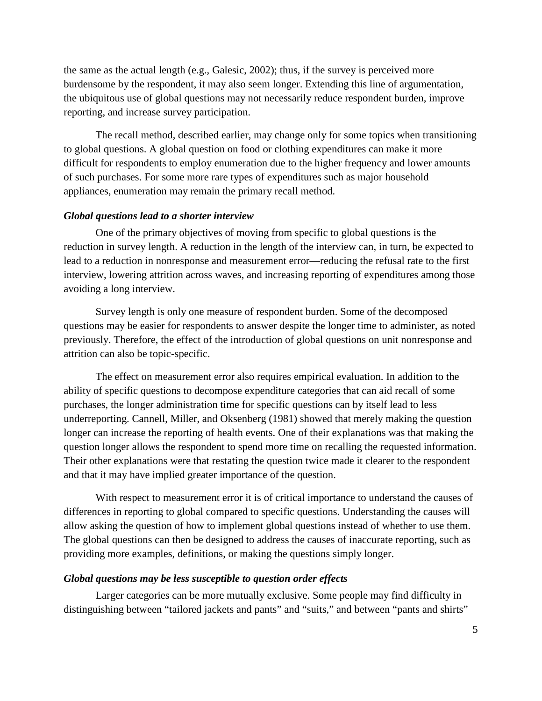the same as the actual length (e.g., Galesic, 2002); thus, if the survey is perceived more burdensome by the respondent, it may also seem longer. Extending this line of argumentation, the ubiquitous use of global questions may not necessarily reduce respondent burden, improve reporting, and increase survey participation.

 The recall method, described earlier, may change only for some topics when transitioning to global questions. A global question on food or clothing expenditures can make it more difficult for respondents to employ enumeration due to the higher frequency and lower amounts of such purchases. For some more rare types of expenditures such as major household appliances, enumeration may remain the primary recall method.

## *Global questions lead to a shorter interview*

 One of the primary objectives of moving from specific to global questions is the reduction in survey length. A reduction in the length of the interview can, in turn, be expected to lead to a reduction in nonresponse and measurement error—reducing the refusal rate to the first interview, lowering attrition across waves, and increasing reporting of expenditures among those avoiding a long interview.

 Survey length is only one measure of respondent burden. Some of the decomposed questions may be easier for respondents to answer despite the longer time to administer, as noted previously. Therefore, the effect of the introduction of global questions on unit nonresponse and attrition can also be topic-specific.

 The effect on measurement error also requires empirical evaluation. In addition to the ability of specific questions to decompose expenditure categories that can aid recall of some purchases, the longer administration time for specific questions can by itself lead to less underreporting. Cannell, Miller, and Oksenberg (1981) showed that merely making the question longer can increase the reporting of health events. One of their explanations was that making the question longer allows the respondent to spend more time on recalling the requested information. Their other explanations were that restating the question twice made it clearer to the respondent and that it may have implied greater importance of the question.

With respect to measurement error it is of critical importance to understand the causes of differences in reporting to global compared to specific questions. Understanding the causes will allow asking the question of how to implement global questions instead of whether to use them. The global questions can then be designed to address the causes of inaccurate reporting, such as providing more examples, definitions, or making the questions simply longer.

## *Global questions may be less susceptible to question order effects*

Larger categories can be more mutually exclusive. Some people may find difficulty in distinguishing between "tailored jackets and pants" and "suits," and between "pants and shirts"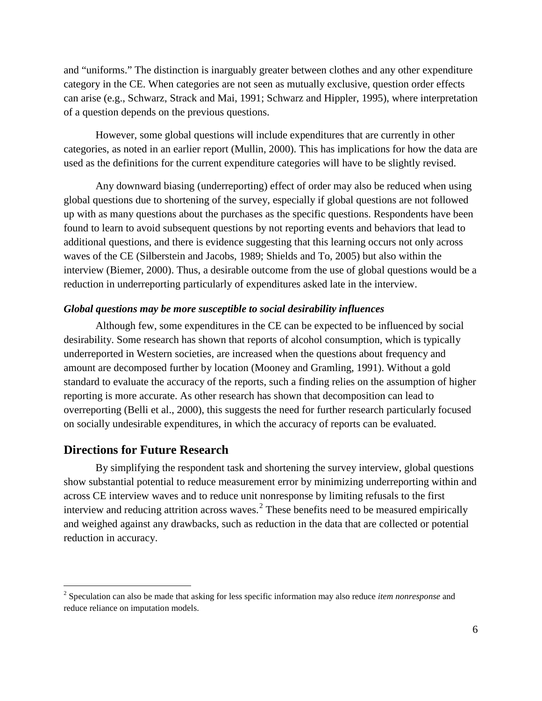and "uniforms." The distinction is inarguably greater between clothes and any other expenditure category in the CE. When categories are not seen as mutually exclusive, question order effects can arise (e.g., Schwarz, Strack and Mai, 1991; Schwarz and Hippler, 1995), where interpretation of a question depends on the previous questions.

 However, some global questions will include expenditures that are currently in other categories, as noted in an earlier report (Mullin, 2000). This has implications for how the data are used as the definitions for the current expenditure categories will have to be slightly revised.

 Any downward biasing (underreporting) effect of order may also be reduced when using global questions due to shortening of the survey, especially if global questions are not followed up with as many questions about the purchases as the specific questions. Respondents have been found to learn to avoid subsequent questions by not reporting events and behaviors that lead to additional questions, and there is evidence suggesting that this learning occurs not only across waves of the CE [\(Silberstein and Jacobs, 1989;](#page-10-0) [Shields and To, 2005\)](#page-10-1) but also within the interview (Biemer, 2000). Thus, a desirable outcome from the use of global questions would be a reduction in underreporting particularly of expenditures asked late in the interview.

#### *Global questions may be more susceptible to social desirability influences*

 Although few, some expenditures in the CE can be expected to be influenced by social desirability. Some research has shown that reports of alcohol consumption, which is typically underreported in Western societies, are increased when the questions about frequency and amount are decomposed further by location (Mooney and Gramling, 1991). Without a gold standard to evaluate the accuracy of the reports, such a finding relies on the assumption of higher reporting is more accurate. As other research has shown that decomposition can lead to overreporting (Belli et al., 2000), this suggests the need for further research particularly focused on socially undesirable expenditures, in which the accuracy of reports can be evaluated.

# **Directions for Future Research**

 $\overline{a}$ 

 By simplifying the respondent task and shortening the survey interview, global questions show substantial potential to reduce measurement error by minimizing underreporting within and across CE interview waves and to reduce unit nonresponse by limiting refusals to the first interview and reducing attrition across waves.<sup>[2](#page-5-0)</sup> These benefits need to be measured empirically and weighed against any drawbacks, such as reduction in the data that are collected or potential reduction in accuracy.

<span id="page-5-0"></span><sup>2</sup> Speculation can also be made that asking for less specific information may also reduce *item nonresponse* and reduce reliance on imputation models.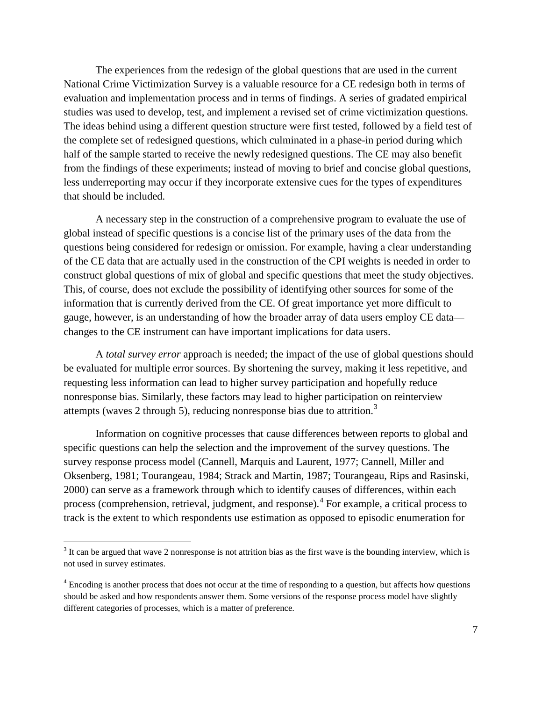The experiences from the redesign of the global questions that are used in the current National Crime Victimization Survey is a valuable resource for a CE redesign both in terms of evaluation and implementation process and in terms of findings. A series of gradated empirical studies was used to develop, test, and implement a revised set of crime victimization questions. The ideas behind using a different question structure were first tested, followed by a field test of the complete set of redesigned questions, which culminated in a phase-in period during which half of the sample started to receive the newly redesigned questions. The CE may also benefit from the findings of these experiments; instead of moving to brief and concise global questions, less underreporting may occur if they incorporate extensive cues for the types of expenditures that should be included.

 A necessary step in the construction of a comprehensive program to evaluate the use of global instead of specific questions is a concise list of the primary uses of the data from the questions being considered for redesign or omission. For example, having a clear understanding of the CE data that are actually used in the construction of the CPI weights is needed in order to construct global questions of mix of global and specific questions that meet the study objectives. This, of course, does not exclude the possibility of identifying other sources for some of the information that is currently derived from the CE. Of great importance yet more difficult to gauge, however, is an understanding of how the broader array of data users employ CE data changes to the CE instrument can have important implications for data users.

A *total survey error* approach is needed; the impact of the use of global questions should be evaluated for multiple error sources. By shortening the survey, making it less repetitive, and requesting less information can lead to higher survey participation and hopefully reduce nonresponse bias. Similarly, these factors may lead to higher participation on reinterview attempts (waves 2 through 5), reducing nonresponse bias due to attrition.<sup>[3](#page-6-0)</sup>

Information on cognitive processes that cause differences between reports to global and specific questions can help the selection and the improvement of the survey questions. The survey response process model (Cannell, Marquis and Laurent, 1977; Cannell, Miller and Oksenberg, 1981; Tourangeau, 1984; Strack and Martin, 1987; Tourangeau, Rips and Rasinski, 2000) can serve as a framework through which to identify causes of differences, within each process (comprehension, retrieval, judgment, and response). <sup>[4](#page-6-1)</sup> For example, a critical process to track is the extent to which respondents use estimation as opposed to episodic enumeration for

 $\overline{a}$ 

<span id="page-6-0"></span> $3$  It can be argued that wave 2 nonresponse is not attrition bias as the first wave is the bounding interview, which is not used in survey estimates.

<span id="page-6-1"></span><sup>&</sup>lt;sup>4</sup> Encoding is another process that does not occur at the time of responding to a question, but affects how questions should be asked and how respondents answer them. Some versions of the response process model have slightly different categories of processes, which is a matter of preference.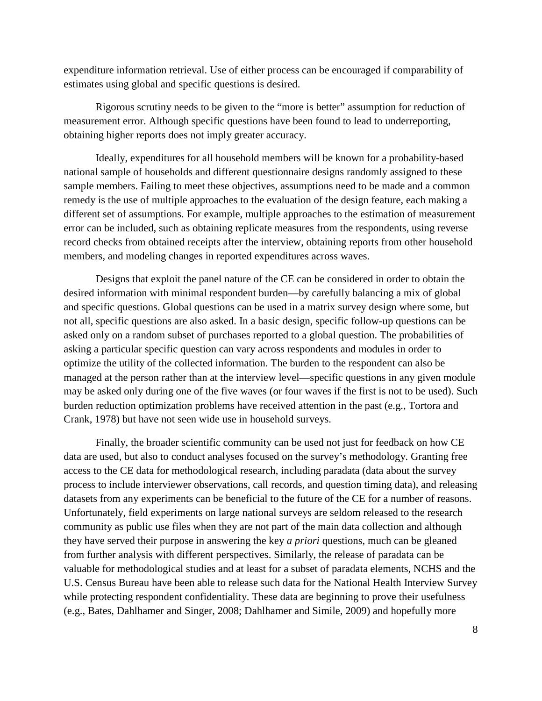expenditure information retrieval. Use of either process can be encouraged if comparability of estimates using global and specific questions is desired.

Rigorous scrutiny needs to be given to the "more is better" assumption for reduction of measurement error. Although specific questions have been found to lead to underreporting, obtaining higher reports does not imply greater accuracy.

 Ideally, expenditures for all household members will be known for a probability-based national sample of households and different questionnaire designs randomly assigned to these sample members. Failing to meet these objectives, assumptions need to be made and a common remedy is the use of multiple approaches to the evaluation of the design feature, each making a different set of assumptions. For example, multiple approaches to the estimation of measurement error can be included, such as obtaining replicate measures from the respondents, using reverse record checks from obtained receipts after the interview, obtaining reports from other household members, and modeling changes in reported expenditures across waves.

 Designs that exploit the panel nature of the CE can be considered in order to obtain the desired information with minimal respondent burden—by carefully balancing a mix of global and specific questions. Global questions can be used in a matrix survey design where some, but not all, specific questions are also asked. In a basic design, specific follow-up questions can be asked only on a random subset of purchases reported to a global question. The probabilities of asking a particular specific question can vary across respondents and modules in order to optimize the utility of the collected information. The burden to the respondent can also be managed at the person rather than at the interview level—specific questions in any given module may be asked only during one of the five waves (or four waves if the first is not to be used). Such burden reduction optimization problems have received attention in the past (e.g., Tortora and Crank, 1978) but have not seen wide use in household surveys.

 Finally, the broader scientific community can be used not just for feedback on how CE data are used, but also to conduct analyses focused on the survey's methodology. Granting free access to the CE data for methodological research, including paradata (data about the survey process to include interviewer observations, call records, and question timing data), and releasing datasets from any experiments can be beneficial to the future of the CE for a number of reasons. Unfortunately, field experiments on large national surveys are seldom released to the research community as public use files when they are not part of the main data collection and although they have served their purpose in answering the key *a priori* questions, much can be gleaned from further analysis with different perspectives. Similarly, the release of paradata can be valuable for methodological studies and at least for a subset of paradata elements, NCHS and the U.S. Census Bureau have been able to release such data for the National Health Interview Survey while protecting respondent confidentiality. These data are beginning to prove their usefulness (e.g., Bates, Dahlhamer and Singer, 2008; Dahlhamer and Simile, 2009) and hopefully more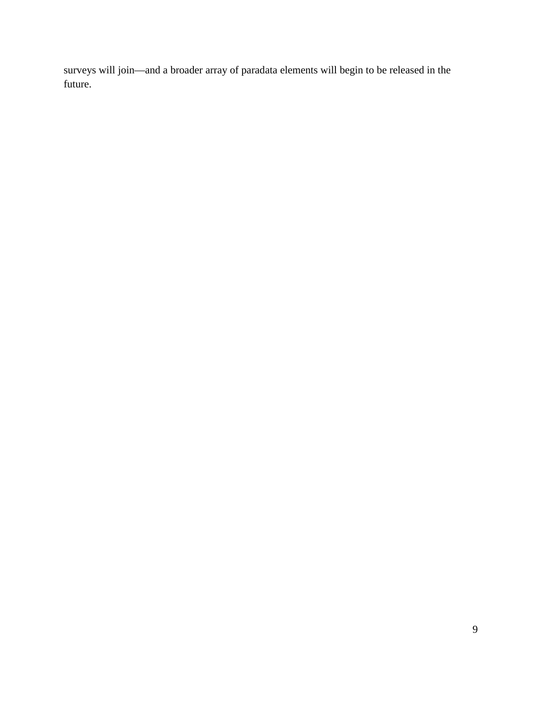surveys will join—and a broader array of paradata elements will begin to be released in the future.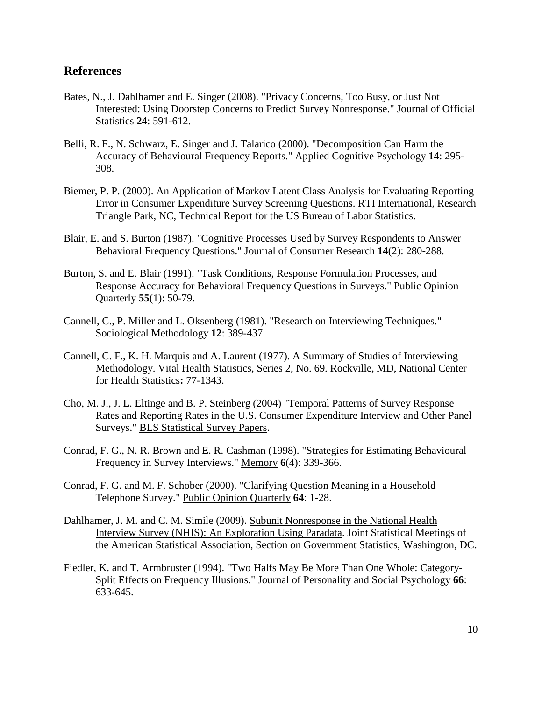# **References**

- Bates, N., J. Dahlhamer and E. Singer (2008). "Privacy Concerns, Too Busy, or Just Not Interested: Using Doorstep Concerns to Predict Survey Nonresponse." Journal of Official Statistics **24**: 591-612.
- Belli, R. F., N. Schwarz, E. Singer and J. Talarico (2000). "Decomposition Can Harm the Accuracy of Behavioural Frequency Reports." Applied Cognitive Psychology **14**: 295- 308.
- Biemer, P. P. (2000). An Application of Markov Latent Class Analysis for Evaluating Reporting Error in Consumer Expenditure Survey Screening Questions. RTI International, Research Triangle Park, NC, Technical Report for the US Bureau of Labor Statistics.
- Blair, E. and S. Burton (1987). "Cognitive Processes Used by Survey Respondents to Answer Behavioral Frequency Questions." Journal of Consumer Research **14**(2): 280-288.
- Burton, S. and E. Blair (1991). "Task Conditions, Response Formulation Processes, and Response Accuracy for Behavioral Frequency Questions in Surveys." Public Opinion Quarterly **55**(1): 50-79.
- Cannell, C., P. Miller and L. Oksenberg (1981). "Research on Interviewing Techniques." Sociological Methodology **12**: 389-437.
- Cannell, C. F., K. H. Marquis and A. Laurent (1977). A Summary of Studies of Interviewing Methodology. Vital Health Statistics, Series 2, No. 69. Rockville, MD, National Center for Health Statistics**:** 77-1343.
- Cho, M. J., J. L. Eltinge and B. P. Steinberg (2004) "Temporal Patterns of Survey Response Rates and Reporting Rates in the U.S. Consumer Expenditure Interview and Other Panel Surveys." **BLS Statistical Survey Papers.**
- Conrad, F. G., N. R. Brown and E. R. Cashman (1998). "Strategies for Estimating Behavioural Frequency in Survey Interviews." Memory **6**(4): 339-366.
- Conrad, F. G. and M. F. Schober (2000). "Clarifying Question Meaning in a Household Telephone Survey." Public Opinion Quarterly **64**: 1-28.
- Dahlhamer, J. M. and C. M. Simile (2009). Subunit Nonresponse in the National Health Interview Survey (NHIS): An Exploration Using Paradata. Joint Statistical Meetings of the American Statistical Association, Section on Government Statistics, Washington, DC.
- Fiedler, K. and T. Armbruster (1994). "Two Halfs May Be More Than One Whole: Category-Split Effects on Frequency Illusions." Journal of Personality and Social Psychology **66**: 633-645.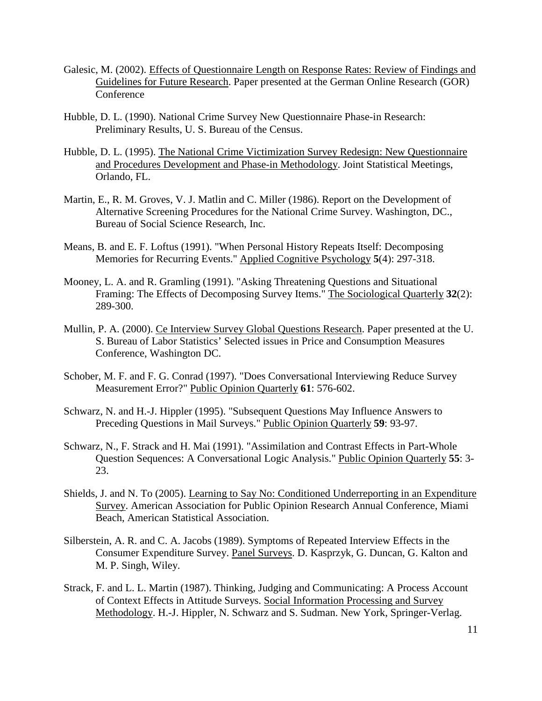- Galesic, M. (2002). Effects of Questionnaire Length on Response Rates: Review of Findings and Guidelines for Future Research. Paper presented at the German Online Research (GOR) **Conference**
- <span id="page-10-1"></span>Hubble, D. L. (1990). National Crime Survey New Questionnaire Phase-in Research: Preliminary Results, U. S. Bureau of the Census.
- <span id="page-10-0"></span>Hubble, D. L. (1995). The National Crime Victimization Survey Redesign: New Questionnaire and Procedures Development and Phase-in Methodology . Joint Statistical Meetings, Orlando, FL.
- Martin, E., R. M. Groves, V. J. Matlin and C. Miller (1986). Report on the Development of Alternative Screening Procedures for the National Crime Survey. Washington, DC., Bureau of Social Science Research, Inc.
- Means, B. and E. F. Loftus (1991). "When Personal History Repeats Itself: Decomposing Memories for Recurring Events." Applied Cognitive Psychology **5**(4): 297-318.
- Mooney, L. A. and R. Gramling (1991). "Asking Threatening Questions and Situational Framing: The Effects of Decomposing Survey Items." The Sociological Quarterly **32**(2): 289-300.
- Mullin, P. A. (2000). Ce Interview Survey Global Questions Research. Paper presented at the U. S. Bureau of Labor Statistics' Selected issues in Price and Consumption Measures Conference, Washington DC.
- Schober, M. F. and F. G. Conrad (1997). "Does Conversational Interviewing Reduce Survey Measurement Error?" Public Opinion Quarterly **61**: 576-602.
- Schwarz, N. and H.-J. Hippler (1995). "Subsequent Questions May Influence Answers to Preceding Questions in Mail Surveys." Public Opinion Quarterly **59**: 93-97.
- Schwarz, N., F. Strack and H. Mai (1991). "Assimilation and Contrast Effects in Part-Whole Question Sequences: A Conversational Logic Analysis." Public Opinion Quarterly **55**: 3- 23.
- Shields, J. and N. To (2005). Learning to Say No: Conditioned Underreporting in an Expenditure Survey. American Association for Public Opinion Research Annual Conference, Miami Beach, American Statistical Association.
- Silberstein, A. R. and C. A. Jacobs (1989). Symptoms of Repeated Interview Effects in the Consumer Expenditure Survey. Panel Surveys. D. Kasprzyk, G. Duncan, G. Kalton and M. P. Singh, Wiley.
- Strack, F. and L. L. Martin (1987). Thinking, Judging and Communicating: A Process Account of Context Effects in Attitude Surveys. Social Information Processing and Survey Methodology. H.-J. Hippler, N. Schwarz and S. Sudman. New York, Springer-Verlag.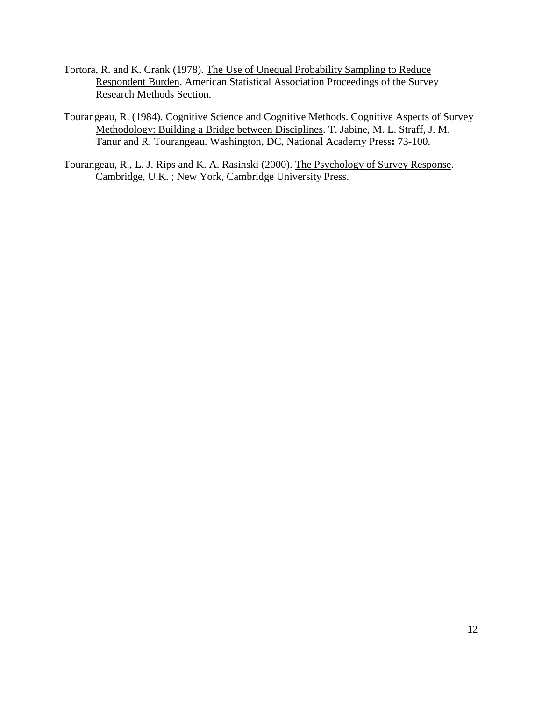- Tortora, R. and K. Crank (1978). The Use of Unequal Probability Sampling to Reduce Respondent Burden. American Statistical Association Proceedings of the Survey Research Methods Section.
- Tourangeau, R. (1984). Cognitive Science and Cognitive Methods. Cognitive Aspects of Survey Methodology: Building a Bridge between Disciplines . T. Jabine, M. L. Straff, J. M. Tanur and R. Tourangeau. Washington, DC, National Academy Press**:** 73-100.
- Tourangeau, R., L. J. Rips and K. A. Rasinski (2000). The Psychology of Survey Response. Cambridge, U.K. ; New York, Cambridge University Press.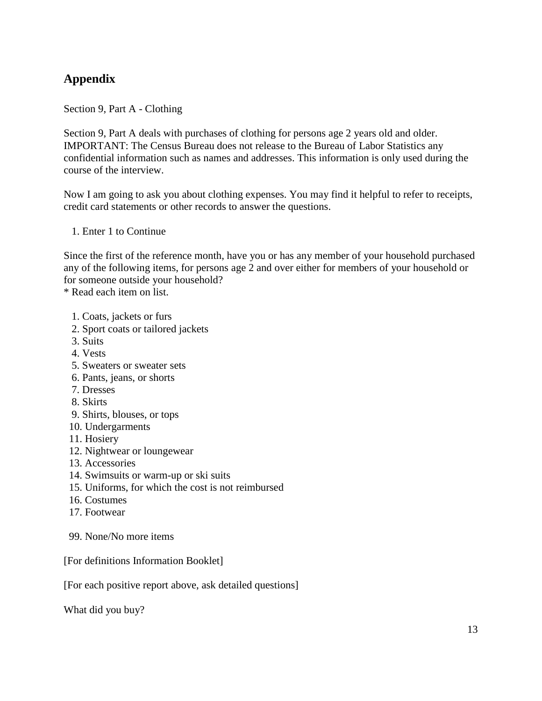# **Appendix**

Section 9, Part A - Clothing

Section 9, Part A deals with purchases of clothing for persons age 2 years old and older. IMPORTANT: The Census Bureau does not release to the Bureau of Labor Statistics any confidential information such as names and addresses. This information is only used during the course of the interview.

Now I am going to ask you about clothing expenses. You may find it helpful to refer to receipts, credit card statements or other records to answer the questions.

1. Enter 1 to Continue

Since the first of the reference month, have you or has any member of your household purchased any of the following items, for persons age 2 and over either for members of your household or for someone outside your household?

\* Read each item on list.

- 1. Coats, jackets or furs
- 2. Sport coats or tailored jackets
- 3. Suits
- 4. Vests
- 5. Sweaters or sweater sets
- 6. Pants, jeans, or shorts
- 7. Dresses
- 8. Skirts
- 9. Shirts, blouses, or tops
- 10. Undergarments
- 11. Hosiery
- 12. Nightwear or loungewear
- 13. Accessories
- 14. Swimsuits or warm-up or ski suits
- 15. Uniforms, for which the cost is not reimbursed
- 16. Costumes
- 17. Footwear
- 99. None/No more items

[For definitions Information Booklet]

[For each positive report above, ask detailed questions]

What did you buy?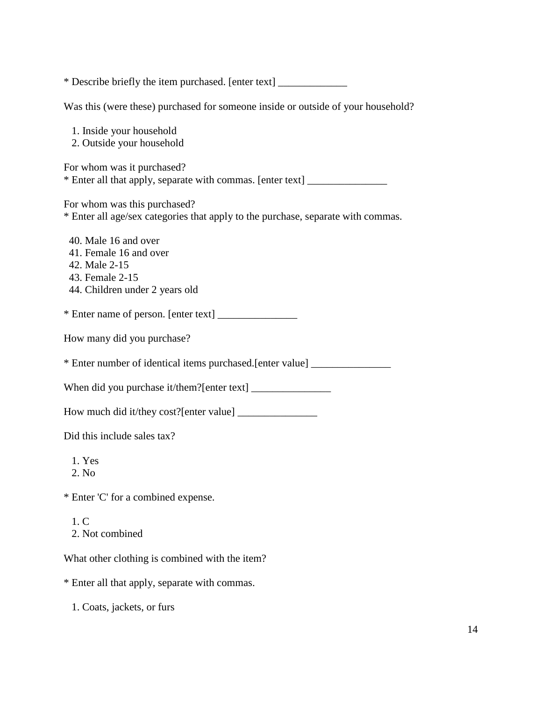\* Describe briefly the item purchased. [enter text] \_\_\_\_\_\_\_\_\_\_\_\_\_

Was this (were these) purchased for someone inside or outside of your household?

|  | 1. Inside your household |
|--|--------------------------|
|  |                          |

2. Outside your household

For whom was it purchased? \* Enter all that apply, separate with commas. [enter text] \_\_\_\_\_\_\_\_\_\_\_\_\_\_\_

For whom was this purchased?

\* Enter all age/sex categories that apply to the purchase, separate with commas.

 40. Male 16 and over 41. Female 16 and over 42. Male 2-15 43. Female 2-15 44. Children under 2 years old

\* Enter name of person. [enter text] \_\_\_\_\_\_\_\_\_\_\_\_\_\_\_

How many did you purchase?

\* Enter number of identical items purchased.[enter value] \_\_\_\_\_\_\_\_\_\_\_\_\_\_\_

When did you purchase it/them?[enter text] \_\_\_\_\_\_\_\_\_\_\_\_\_\_\_

How much did it/they cost?[enter value] \_\_\_\_\_\_\_\_\_\_\_\_\_\_\_

Did this include sales tax?

- 1. Yes
- 2. No

\* Enter 'C' for a combined expense.

 1. C 2. Not combined

What other clothing is combined with the item?

\* Enter all that apply, separate with commas.

1. Coats, jackets, or furs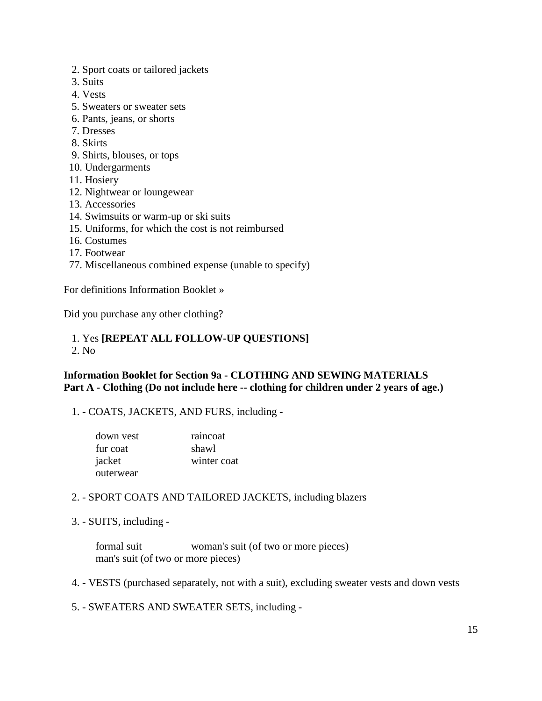- 2. Sport coats or tailored jackets
- 3. Suits
- 4. Vests
- 5. Sweaters or sweater sets
- 6. Pants, jeans, or shorts
- 7. Dresses
- 8. Skirts
- 9. Shirts, blouses, or tops
- 10. Undergarments
- 11. Hosiery
- 12. Nightwear or loungewear
- 13. Accessories
- 14. Swimsuits or warm-up or ski suits
- 15. Uniforms, for which the cost is not reimbursed
- 16. Costumes
- 17. Footwear
- 77. Miscellaneous combined expense (unable to specify)

For definitions Information Booklet »

Did you purchase any other clothing?

#### 1. Yes **[REPEAT ALL FOLLOW-UP QUESTIONS]** 2. No

## **Information Booklet for Section 9a - CLOTHING AND SEWING MATERIALS Part A - Clothing (Do not include here -- clothing for children under 2 years of age.)**

1. - COATS, JACKETS, AND FURS, including -

| down vest | raincoat    |
|-----------|-------------|
| fur coat  | shawl       |
| jacket    | winter coat |
| outerwear |             |

### 2. - SPORT COATS AND TAILORED JACKETS, including blazers

3. - SUITS, including -

 formal suit woman's suit (of two or more pieces) man's suit (of two or more pieces)

- 4. VESTS (purchased separately, not with a suit), excluding sweater vests and down vests
- 5. SWEATERS AND SWEATER SETS, including -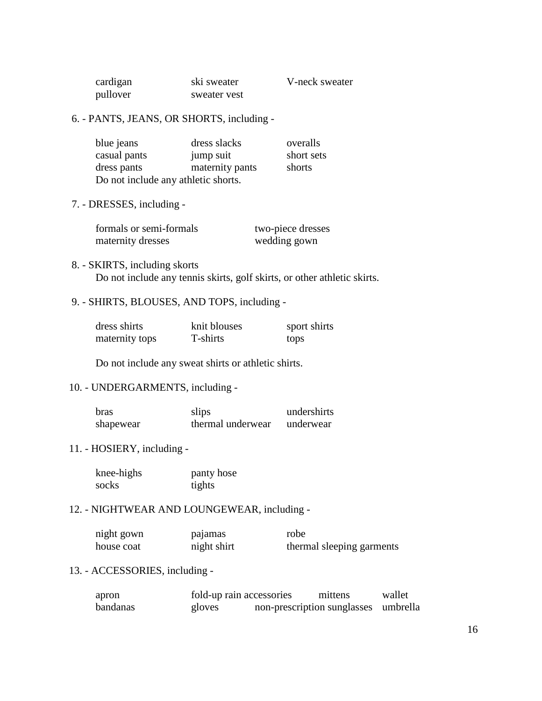| cardigan | ski sweater  |
|----------|--------------|
| pullover | sweater vest |

er V-neck sweater

## 6. - PANTS, JEANS, OR SHORTS, including -

| blue jeans                          | dress slacks    | overalls   |
|-------------------------------------|-----------------|------------|
| casual pants                        | jump suit       | short sets |
| dress pants                         | maternity pants | shorts     |
| Do not include any athletic shorts. |                 |            |

7. - DRESSES, including -

| formals or semi-formals | two-piece dresses |
|-------------------------|-------------------|
| maternity dresses       | wedding gown      |

# 8. - SKIRTS, including skorts Do not include any tennis skirts, golf skirts, or other athletic skirts.

# 9. - SHIRTS, BLOUSES, AND TOPS, including -

| dress shirts   | knit blouses | sport shirts |
|----------------|--------------|--------------|
| maternity tops | T-shirts     | tops         |

Do not include any sweat shirts or athletic shirts.

## 10. - UNDERGARMENTS, including -

| bras      | slips             | undershirts |
|-----------|-------------------|-------------|
| shapewear | thermal underwear | underwear   |

# 11. - HOSIERY, including -

| knee-highs | panty hose |
|------------|------------|
| socks      | tights     |

## 12. - NIGHTWEAR AND LOUNGEWEAR, including -

| night gown | pajamas     | robe                      |
|------------|-------------|---------------------------|
| house coat | night shirt | thermal sleeping garments |

# 13. - ACCESSORIES, including -

| apron    | fold-up rain accessories | mittens                              | wallet |
|----------|--------------------------|--------------------------------------|--------|
| bandanas | gloves                   | non-prescription sunglasses umbrella |        |